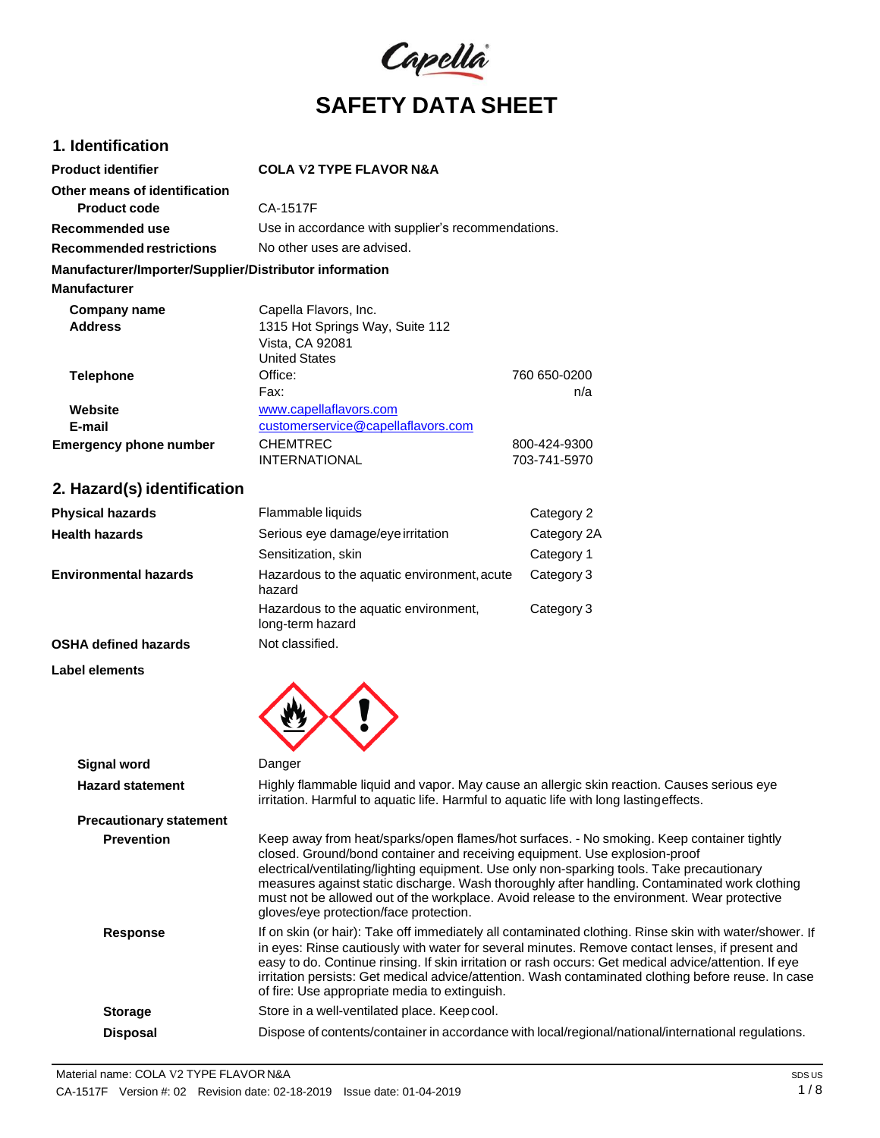

## **1. Identification**

| <b>Product identifier</b>                              | <b>COLA V2 TYPE FLAVOR N&amp;A</b>                 |              |
|--------------------------------------------------------|----------------------------------------------------|--------------|
| Other means of identification                          |                                                    |              |
| Product code                                           | CA-1517F                                           |              |
| Recommended use                                        | Use in accordance with supplier's recommendations. |              |
| Recommended restrictions                               | No other uses are advised.                         |              |
| Manufacturer/Importer/Supplier/Distributor information |                                                    |              |
| <b>Manufacturer</b>                                    |                                                    |              |
| Company name                                           | Capella Flavors, Inc.                              |              |
| <b>Address</b>                                         | 1315 Hot Springs Way, Suite 112                    |              |
|                                                        | Vista, CA 92081                                    |              |
|                                                        | <b>United States</b>                               |              |
| <b>Telephone</b>                                       | Office:                                            | 760 650-0200 |
|                                                        | Fax:                                               | n/a          |
| Website                                                | www.capellaflavors.com                             |              |
| E-mail                                                 | customerservice@capellaflavors.com                 |              |
| <b>Emergency phone number</b>                          | <b>CHEMTREC</b>                                    | 800-424-9300 |
|                                                        | <b>INTERNATIONAL</b>                               | 703-741-5970 |

## **2. Hazard(s) identification**

| <b>Physical hazards</b>      | Flammable liquids                                         | Category 2  |
|------------------------------|-----------------------------------------------------------|-------------|
| <b>Health hazards</b>        | Serious eye damage/eye irritation                         | Category 2A |
|                              | Sensitization, skin                                       | Category 1  |
| <b>Environmental hazards</b> | Hazardous to the aquatic environment, acute<br>hazard     | Category 3  |
|                              | Hazardous to the aquatic environment,<br>long-term hazard | Category 3  |
| <b>OSHA defined hazards</b>  | Not classified.                                           |             |

 $\wedge$   $\wedge$ 

### **Label elements**

| Signal word                    | Danger                                                                                                                                                                                                                                                                                                                                                                                                                                                                                                          |
|--------------------------------|-----------------------------------------------------------------------------------------------------------------------------------------------------------------------------------------------------------------------------------------------------------------------------------------------------------------------------------------------------------------------------------------------------------------------------------------------------------------------------------------------------------------|
| <b>Hazard statement</b>        | Highly flammable liquid and vapor. May cause an allergic skin reaction. Causes serious eye<br>irritation. Harmful to aquatic life. Harmful to aquatic life with long lasting effects.                                                                                                                                                                                                                                                                                                                           |
| <b>Precautionary statement</b> |                                                                                                                                                                                                                                                                                                                                                                                                                                                                                                                 |
| <b>Prevention</b>              | Keep away from heat/sparks/open flames/hot surfaces. - No smoking. Keep container tightly<br>closed. Ground/bond container and receiving equipment. Use explosion-proof<br>electrical/ventilating/lighting equipment. Use only non-sparking tools. Take precautionary<br>measures against static discharge. Wash thoroughly after handling. Contaminated work clothing<br>must not be allowed out of the workplace. Avoid release to the environment. Wear protective<br>gloves/eye protection/face protection. |
| <b>Response</b>                | If on skin (or hair): Take off immediately all contaminated clothing. Rinse skin with water/shower. If<br>in eyes: Rinse cautiously with water for several minutes. Remove contact lenses, if present and<br>easy to do. Continue rinsing. If skin irritation or rash occurs: Get medical advice/attention. If eye<br>irritation persists: Get medical advice/attention. Wash contaminated clothing before reuse. In case<br>of fire: Use appropriate media to extinguish.                                      |
| <b>Storage</b>                 | Store in a well-ventilated place. Keep cool.                                                                                                                                                                                                                                                                                                                                                                                                                                                                    |
| <b>Disposal</b>                | Dispose of contents/container in accordance with local/regional/national/international regulations.                                                                                                                                                                                                                                                                                                                                                                                                             |
|                                |                                                                                                                                                                                                                                                                                                                                                                                                                                                                                                                 |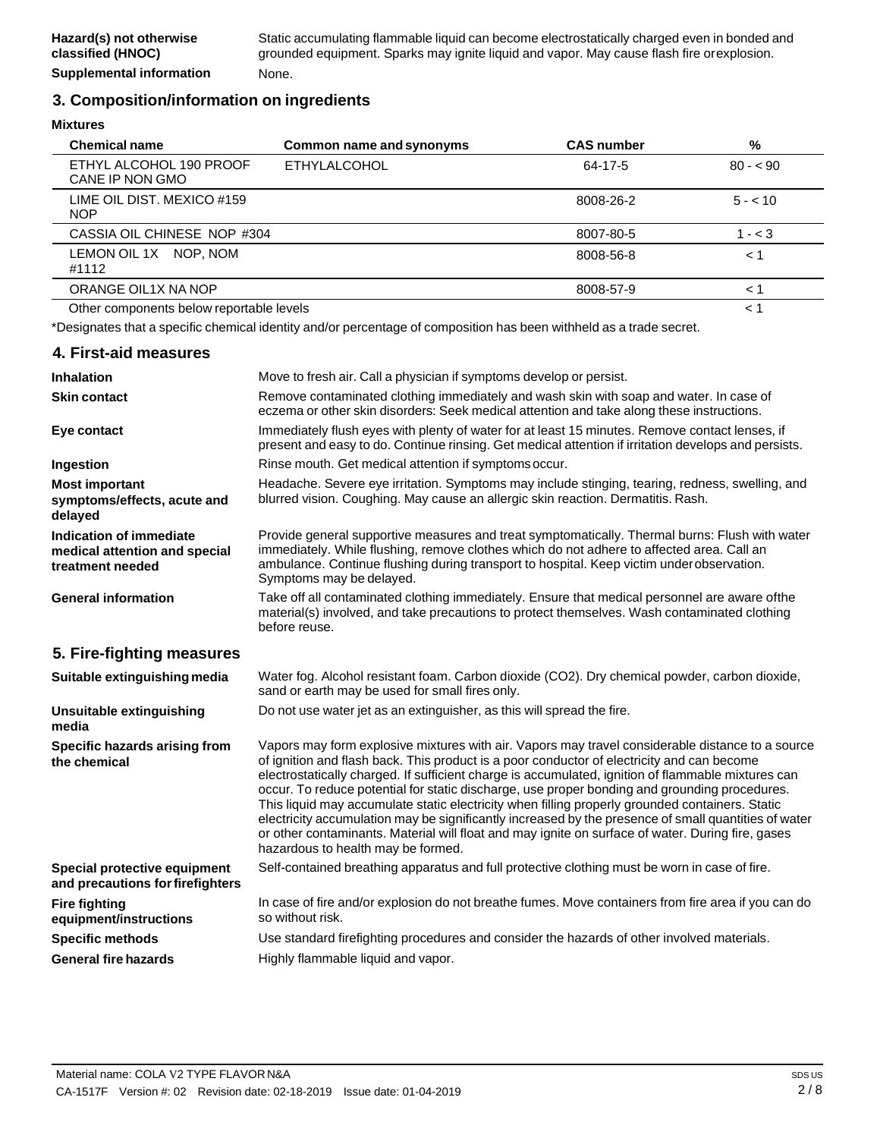### **3. Composition/information on ingredients**

**Mixtures**

| <b>Chemical name</b>                       | Common name and synonyms | <b>CAS number</b> | %         |
|--------------------------------------------|--------------------------|-------------------|-----------|
| ETHYL ALCOHOL 190 PROOF<br>CANE IP NON GMO | <b>ETHYLALCOHOL</b>      | 64-17-5           | $80 - 90$ |
| LIME OIL DIST. MEXICO #159<br><b>NOP</b>   |                          | 8008-26-2         | $5 - 10$  |
| CASSIA OIL CHINESE NOP #304                |                          | 8007-80-5         | $1 - < 3$ |
| LEMON OIL 1X NOP, NOM<br>#1112             |                          | 8008-56-8         | < 1       |
| ORANGE OIL1X NA NOP                        |                          | 8008-57-9         | ← 1       |
| Other components below reportable levels   |                          |                   | < 1       |

\*Designates that a specific chemical identity and/or percentage of composition has been withheld as a trade secret.

| 4. First-aid measures                                                        |                                                                                                                                                                                                                                                                                                                                                                                                                                                                                                                                                                                                                                                                                                                                                             |
|------------------------------------------------------------------------------|-------------------------------------------------------------------------------------------------------------------------------------------------------------------------------------------------------------------------------------------------------------------------------------------------------------------------------------------------------------------------------------------------------------------------------------------------------------------------------------------------------------------------------------------------------------------------------------------------------------------------------------------------------------------------------------------------------------------------------------------------------------|
| <b>Inhalation</b>                                                            | Move to fresh air. Call a physician if symptoms develop or persist.                                                                                                                                                                                                                                                                                                                                                                                                                                                                                                                                                                                                                                                                                         |
| <b>Skin contact</b>                                                          | Remove contaminated clothing immediately and wash skin with soap and water. In case of<br>eczema or other skin disorders: Seek medical attention and take along these instructions.                                                                                                                                                                                                                                                                                                                                                                                                                                                                                                                                                                         |
| Eye contact                                                                  | Immediately flush eyes with plenty of water for at least 15 minutes. Remove contact lenses, if<br>present and easy to do. Continue rinsing. Get medical attention if irritation develops and persists.                                                                                                                                                                                                                                                                                                                                                                                                                                                                                                                                                      |
| Ingestion                                                                    | Rinse mouth. Get medical attention if symptoms occur.                                                                                                                                                                                                                                                                                                                                                                                                                                                                                                                                                                                                                                                                                                       |
| <b>Most important</b><br>symptoms/effects, acute and<br>delayed              | Headache. Severe eye irritation. Symptoms may include stinging, tearing, redness, swelling, and<br>blurred vision. Coughing. May cause an allergic skin reaction. Dermatitis. Rash.                                                                                                                                                                                                                                                                                                                                                                                                                                                                                                                                                                         |
| Indication of immediate<br>medical attention and special<br>treatment needed | Provide general supportive measures and treat symptomatically. Thermal burns: Flush with water<br>immediately. While flushing, remove clothes which do not adhere to affected area. Call an<br>ambulance. Continue flushing during transport to hospital. Keep victim under observation.<br>Symptoms may be delayed.                                                                                                                                                                                                                                                                                                                                                                                                                                        |
| <b>General information</b>                                                   | Take off all contaminated clothing immediately. Ensure that medical personnel are aware ofthe<br>material(s) involved, and take precautions to protect themselves. Wash contaminated clothing<br>before reuse.                                                                                                                                                                                                                                                                                                                                                                                                                                                                                                                                              |
| 5. Fire-fighting measures                                                    |                                                                                                                                                                                                                                                                                                                                                                                                                                                                                                                                                                                                                                                                                                                                                             |
| Suitable extinguishing media                                                 | Water fog. Alcohol resistant foam. Carbon dioxide (CO2). Dry chemical powder, carbon dioxide,<br>sand or earth may be used for small fires only.                                                                                                                                                                                                                                                                                                                                                                                                                                                                                                                                                                                                            |
| <b>Unsuitable extinguishing</b><br>media                                     | Do not use water jet as an extinguisher, as this will spread the fire.                                                                                                                                                                                                                                                                                                                                                                                                                                                                                                                                                                                                                                                                                      |
| Specific hazards arising from<br>the chemical                                | Vapors may form explosive mixtures with air. Vapors may travel considerable distance to a source<br>of ignition and flash back. This product is a poor conductor of electricity and can become<br>electrostatically charged. If sufficient charge is accumulated, ignition of flammable mixtures can<br>occur. To reduce potential for static discharge, use proper bonding and grounding procedures.<br>This liquid may accumulate static electricity when filling properly grounded containers. Static<br>electricity accumulation may be significantly increased by the presence of small quantities of water<br>or other contaminants. Material will float and may ignite on surface of water. During fire, gases<br>hazardous to health may be formed. |
| Special protective equipment<br>and precautions for firefighters             | Self-contained breathing apparatus and full protective clothing must be worn in case of fire.                                                                                                                                                                                                                                                                                                                                                                                                                                                                                                                                                                                                                                                               |
| <b>Fire fighting</b><br>equipment/instructions                               | In case of fire and/or explosion do not breathe fumes. Move containers from fire area if you can do<br>so without risk.                                                                                                                                                                                                                                                                                                                                                                                                                                                                                                                                                                                                                                     |
| <b>Specific methods</b>                                                      | Use standard firefighting procedures and consider the hazards of other involved materials.                                                                                                                                                                                                                                                                                                                                                                                                                                                                                                                                                                                                                                                                  |
| <b>General fire hazards</b>                                                  | Highly flammable liquid and vapor.                                                                                                                                                                                                                                                                                                                                                                                                                                                                                                                                                                                                                                                                                                                          |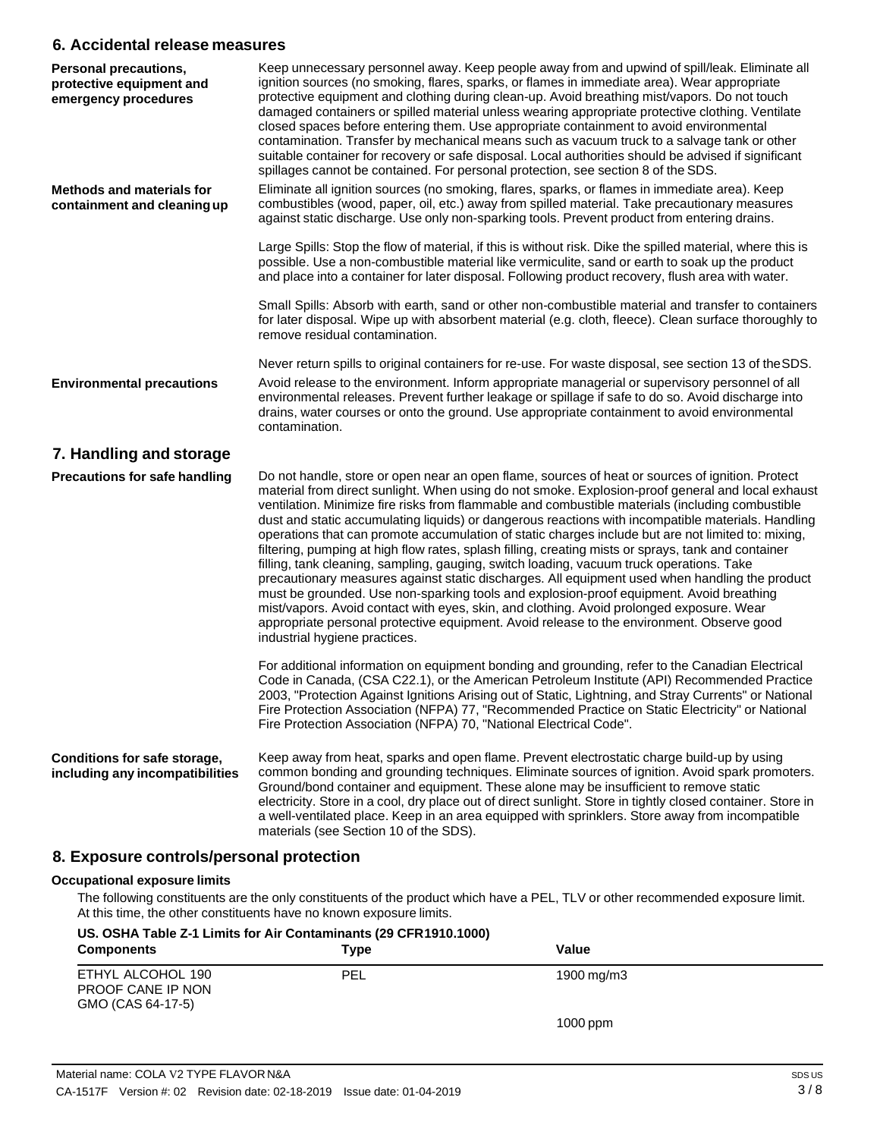### **6. Accidental release measures**

| Personal precautions,<br>protective equipment and<br>emergency procedures | Keep unnecessary personnel away. Keep people away from and upwind of spill/leak. Eliminate all<br>ignition sources (no smoking, flares, sparks, or flames in immediate area). Wear appropriate<br>protective equipment and clothing during clean-up. Avoid breathing mist/vapors. Do not touch<br>damaged containers or spilled material unless wearing appropriate protective clothing. Ventilate<br>closed spaces before entering them. Use appropriate containment to avoid environmental<br>contamination. Transfer by mechanical means such as vacuum truck to a salvage tank or other<br>suitable container for recovery or safe disposal. Local authorities should be advised if significant<br>spillages cannot be contained. For personal protection, see section 8 of the SDS.                                                                                                                                                                                                                                                                                                                                                        |
|---------------------------------------------------------------------------|-------------------------------------------------------------------------------------------------------------------------------------------------------------------------------------------------------------------------------------------------------------------------------------------------------------------------------------------------------------------------------------------------------------------------------------------------------------------------------------------------------------------------------------------------------------------------------------------------------------------------------------------------------------------------------------------------------------------------------------------------------------------------------------------------------------------------------------------------------------------------------------------------------------------------------------------------------------------------------------------------------------------------------------------------------------------------------------------------------------------------------------------------|
| <b>Methods and materials for</b><br>containment and cleaning up           | Eliminate all ignition sources (no smoking, flares, sparks, or flames in immediate area). Keep<br>combustibles (wood, paper, oil, etc.) away from spilled material. Take precautionary measures<br>against static discharge. Use only non-sparking tools. Prevent product from entering drains.                                                                                                                                                                                                                                                                                                                                                                                                                                                                                                                                                                                                                                                                                                                                                                                                                                                 |
|                                                                           | Large Spills: Stop the flow of material, if this is without risk. Dike the spilled material, where this is<br>possible. Use a non-combustible material like vermiculite, sand or earth to soak up the product<br>and place into a container for later disposal. Following product recovery, flush area with water.                                                                                                                                                                                                                                                                                                                                                                                                                                                                                                                                                                                                                                                                                                                                                                                                                              |
|                                                                           | Small Spills: Absorb with earth, sand or other non-combustible material and transfer to containers<br>for later disposal. Wipe up with absorbent material (e.g. cloth, fleece). Clean surface thoroughly to<br>remove residual contamination.                                                                                                                                                                                                                                                                                                                                                                                                                                                                                                                                                                                                                                                                                                                                                                                                                                                                                                   |
|                                                                           | Never return spills to original containers for re-use. For waste disposal, see section 13 of the SDS.                                                                                                                                                                                                                                                                                                                                                                                                                                                                                                                                                                                                                                                                                                                                                                                                                                                                                                                                                                                                                                           |
| <b>Environmental precautions</b>                                          | Avoid release to the environment. Inform appropriate managerial or supervisory personnel of all<br>environmental releases. Prevent further leakage or spillage if safe to do so. Avoid discharge into<br>drains, water courses or onto the ground. Use appropriate containment to avoid environmental<br>contamination.                                                                                                                                                                                                                                                                                                                                                                                                                                                                                                                                                                                                                                                                                                                                                                                                                         |
| 7. Handling and storage                                                   |                                                                                                                                                                                                                                                                                                                                                                                                                                                                                                                                                                                                                                                                                                                                                                                                                                                                                                                                                                                                                                                                                                                                                 |
| <b>Precautions for safe handling</b>                                      | Do not handle, store or open near an open flame, sources of heat or sources of ignition. Protect<br>material from direct sunlight. When using do not smoke. Explosion-proof general and local exhaust<br>ventilation. Minimize fire risks from flammable and combustible materials (including combustible<br>dust and static accumulating liquids) or dangerous reactions with incompatible materials. Handling<br>operations that can promote accumulation of static charges include but are not limited to: mixing,<br>filtering, pumping at high flow rates, splash filling, creating mists or sprays, tank and container<br>filling, tank cleaning, sampling, gauging, switch loading, vacuum truck operations. Take<br>precautionary measures against static discharges. All equipment used when handling the product<br>must be grounded. Use non-sparking tools and explosion-proof equipment. Avoid breathing<br>mist/vapors. Avoid contact with eyes, skin, and clothing. Avoid prolonged exposure. Wear<br>appropriate personal protective equipment. Avoid release to the environment. Observe good<br>industrial hygiene practices. |
|                                                                           | For additional information on equipment bonding and grounding, refer to the Canadian Electrical<br>Code in Canada, (CSA C22.1), or the American Petroleum Institute (API) Recommended Practice<br>2003, "Protection Against Ignitions Arising out of Static, Lightning, and Stray Currents" or National<br>Fire Protection Association (NFPA) 77, "Recommended Practice on Static Electricity" or National<br>Fire Protection Association (NFPA) 70, "National Electrical Code".                                                                                                                                                                                                                                                                                                                                                                                                                                                                                                                                                                                                                                                                |
| Conditions for safe storage,<br>including any incompatibilities           | Keep away from heat, sparks and open flame. Prevent electrostatic charge build-up by using<br>common bonding and grounding techniques. Eliminate sources of ignition. Avoid spark promoters.<br>Ground/bond container and equipment. These alone may be insufficient to remove static<br>electricity. Store in a cool, dry place out of direct sunlight. Store in tightly closed container. Store in<br>a well-ventilated place. Keep in an area equipped with sprinklers. Store away from incompatible<br>materials (see Section 10 of the SDS).                                                                                                                                                                                                                                                                                                                                                                                                                                                                                                                                                                                               |
| 8. Exposure controls/personal protection                                  |                                                                                                                                                                                                                                                                                                                                                                                                                                                                                                                                                                                                                                                                                                                                                                                                                                                                                                                                                                                                                                                                                                                                                 |
| <b>Occupational exposure limits</b>                                       | The following constituents are the only constituents of the product which have a PEL, TLV or other recommended exposure limit.<br>At this time, the other constituents have no known exposure limits.                                                                                                                                                                                                                                                                                                                                                                                                                                                                                                                                                                                                                                                                                                                                                                                                                                                                                                                                           |
|                                                                           |                                                                                                                                                                                                                                                                                                                                                                                                                                                                                                                                                                                                                                                                                                                                                                                                                                                                                                                                                                                                                                                                                                                                                 |

| <b>Components</b>                                           | Type       | Value      |  |
|-------------------------------------------------------------|------------|------------|--|
| ETHYL ALCOHOL 190<br>PROOF CANE IP NON<br>GMO (CAS 64-17-5) | <b>PEL</b> | 1900 mg/m3 |  |
|                                                             |            | $1000$ ppm |  |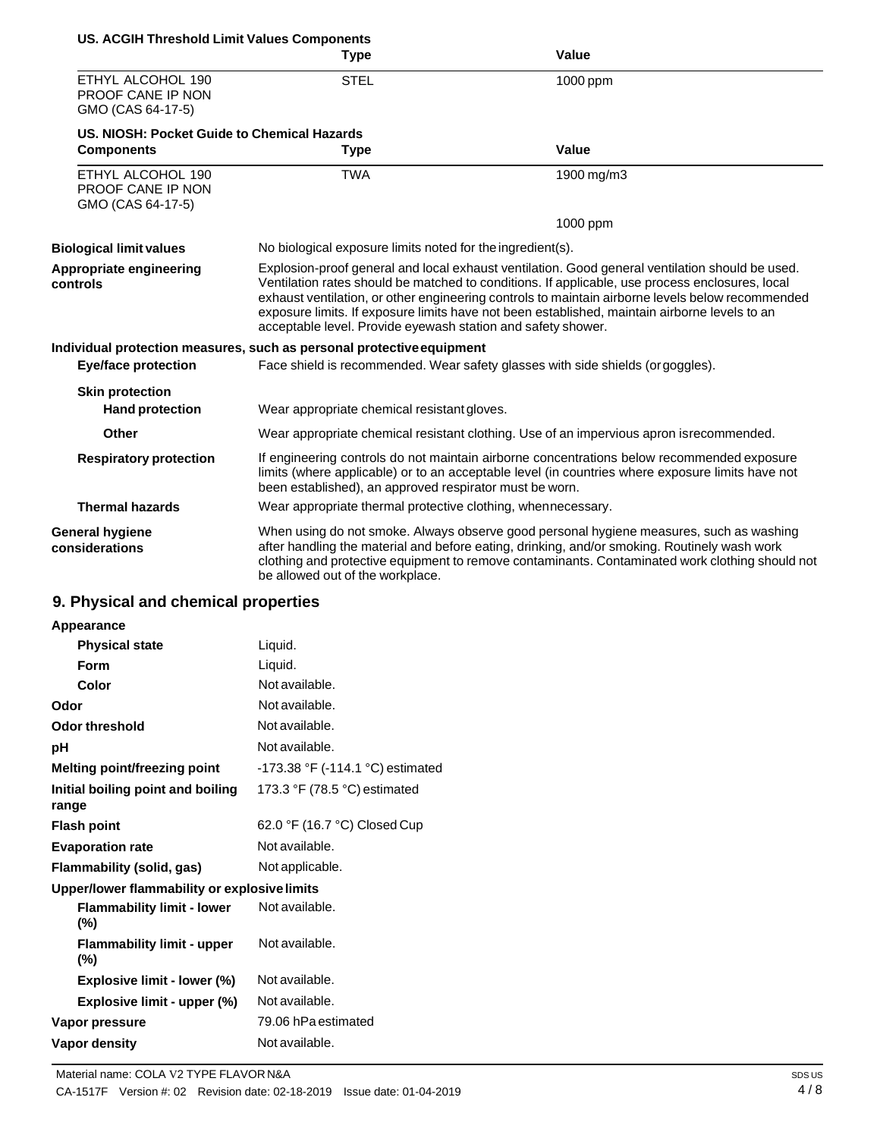| <b>US. ACGIH Threshold Limit Values Components</b>          |                                                                       |                                                                                                                                                                                                                                                                                                                                                                                                         |
|-------------------------------------------------------------|-----------------------------------------------------------------------|---------------------------------------------------------------------------------------------------------------------------------------------------------------------------------------------------------------------------------------------------------------------------------------------------------------------------------------------------------------------------------------------------------|
|                                                             | <b>Type</b>                                                           | <b>Value</b>                                                                                                                                                                                                                                                                                                                                                                                            |
| ETHYL ALCOHOL 190<br>PROOF CANE IP NON<br>GMO (CAS 64-17-5) | <b>STEL</b>                                                           | 1000 ppm                                                                                                                                                                                                                                                                                                                                                                                                |
| US. NIOSH: Pocket Guide to Chemical Hazards                 |                                                                       |                                                                                                                                                                                                                                                                                                                                                                                                         |
| <b>Components</b>                                           | <b>Type</b>                                                           | Value                                                                                                                                                                                                                                                                                                                                                                                                   |
| ETHYL ALCOHOL 190<br>PROOF CANE IP NON<br>GMO (CAS 64-17-5) | <b>TWA</b>                                                            | 1900 mg/m3                                                                                                                                                                                                                                                                                                                                                                                              |
|                                                             |                                                                       | 1000 ppm                                                                                                                                                                                                                                                                                                                                                                                                |
| <b>Biological limit values</b>                              | No biological exposure limits noted for the ingredient(s).            |                                                                                                                                                                                                                                                                                                                                                                                                         |
| Appropriate engineering<br>controls                         | acceptable level. Provide eyewash station and safety shower.          | Explosion-proof general and local exhaust ventilation. Good general ventilation should be used.<br>Ventilation rates should be matched to conditions. If applicable, use process enclosures, local<br>exhaust ventilation, or other engineering controls to maintain airborne levels below recommended<br>exposure limits. If exposure limits have not been established, maintain airborne levels to an |
|                                                             | Individual protection measures, such as personal protective equipment |                                                                                                                                                                                                                                                                                                                                                                                                         |
| <b>Eye/face protection</b>                                  |                                                                       | Face shield is recommended. Wear safety glasses with side shields (or goggles).                                                                                                                                                                                                                                                                                                                         |
| <b>Skin protection</b>                                      |                                                                       |                                                                                                                                                                                                                                                                                                                                                                                                         |
| <b>Hand protection</b>                                      | Wear appropriate chemical resistant gloves.                           |                                                                                                                                                                                                                                                                                                                                                                                                         |
| <b>Other</b>                                                |                                                                       | Wear appropriate chemical resistant clothing. Use of an impervious apron is recommended.                                                                                                                                                                                                                                                                                                                |
| <b>Respiratory protection</b>                               | been established), an approved respirator must be worn.               | If engineering controls do not maintain airborne concentrations below recommended exposure<br>limits (where applicable) or to an acceptable level (in countries where exposure limits have not                                                                                                                                                                                                          |
| <b>Thermal hazards</b>                                      | Wear appropriate thermal protective clothing, whennecessary.          |                                                                                                                                                                                                                                                                                                                                                                                                         |
| <b>General hygiene</b><br>considerations                    | be allowed out of the workplace.                                      | When using do not smoke. Always observe good personal hygiene measures, such as washing<br>after handling the material and before eating, drinking, and/or smoking. Routinely wash work<br>clothing and protective equipment to remove contaminants. Contaminated work clothing should not                                                                                                              |

## **9. Physical and chemical properties**

| Appearance                                   |                                  |
|----------------------------------------------|----------------------------------|
| <b>Physical state</b>                        | Liquid.                          |
| Form                                         | Liquid.                          |
| Color                                        | Not available.                   |
| Odor                                         | Not available.                   |
| Odor threshold                               | Not available.                   |
| рH                                           | Not available.                   |
| Melting point/freezing point                 | -173.38 °F (-114.1 °C) estimated |
| Initial boiling point and boiling<br>range   | 173.3 °F (78.5 °C) estimated     |
| <b>Flash point</b>                           | 62.0 °F (16.7 °C) Closed Cup     |
| <b>Evaporation rate</b>                      | Not available.                   |
| Flammability (solid, gas)                    | Not applicable.                  |
| Upper/lower flammability or explosive limits |                                  |
| <b>Flammability limit - lower</b><br>(%)     | Not available.                   |
| <b>Flammability limit - upper</b><br>$(\%)$  | Not available.                   |
| <b>Explosive limit - lower (%)</b>           | Not available.                   |
| Explosive limit - upper (%)                  | Not available.                   |
| Vapor pressure                               | 79.06 hPa estimated              |
| Vapor density                                | Not available.                   |
|                                              |                                  |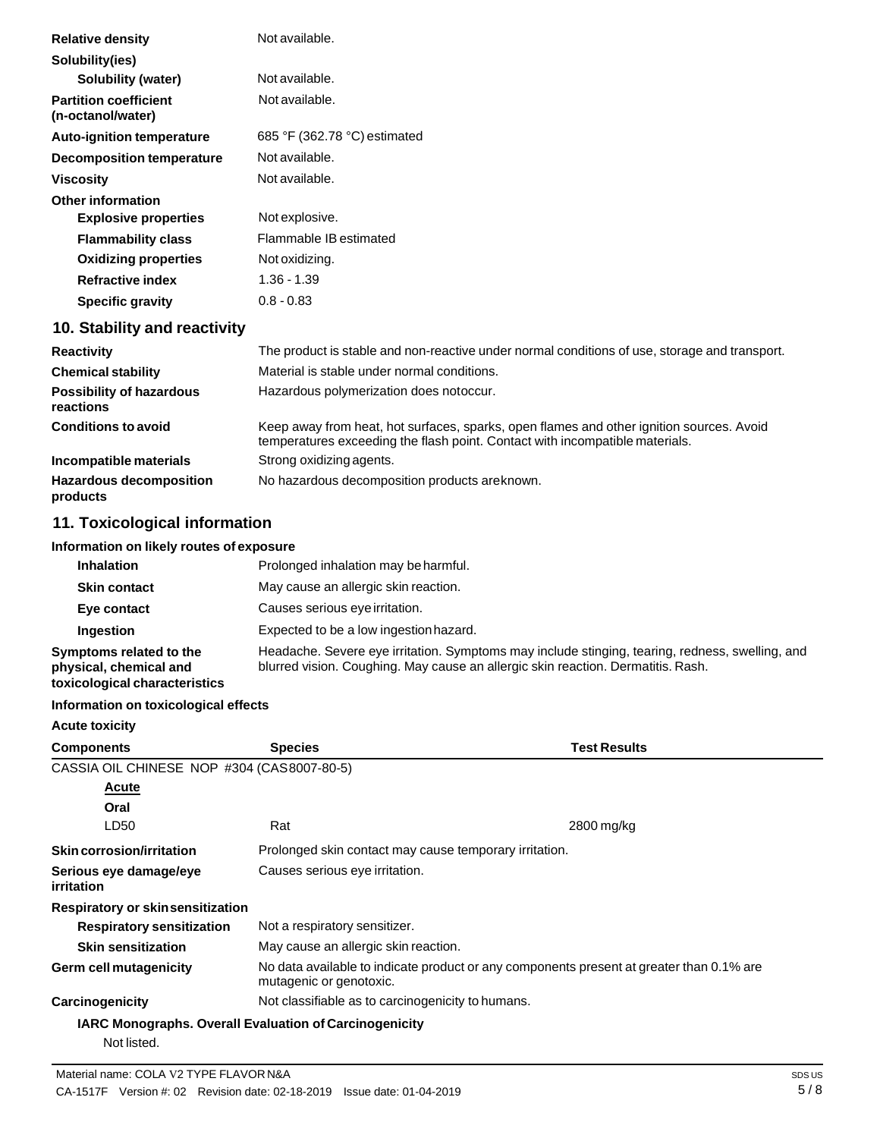| <b>Relative density</b>                           | Not available.               |
|---------------------------------------------------|------------------------------|
| Solubility(ies)                                   |                              |
| <b>Solubility (water)</b>                         | Not available.               |
| <b>Partition coefficient</b><br>(n-octanol/water) | Not available.               |
| <b>Auto-ignition temperature</b>                  | 685 °F (362.78 °C) estimated |
| Decomposition temperature                         | Not available.               |
| <b>Viscosity</b>                                  | Not available.               |
| Other information                                 |                              |
| <b>Explosive properties</b>                       | Not explosive.               |
| <b>Flammability class</b>                         | Flammable IB estimated       |
| <b>Oxidizing properties</b>                       | Not oxidizing.               |
| <b>Refractive index</b>                           | $1.36 - 1.39$                |
| <b>Specific gravity</b>                           | $0.8 - 0.83$                 |
| 10. Stability and reactivity                      |                              |
|                                                   |                              |

| <b>Reactivity</b>                            | The product is stable and non-reactive under normal conditions of use, storage and transport.                                                                            |
|----------------------------------------------|--------------------------------------------------------------------------------------------------------------------------------------------------------------------------|
| <b>Chemical stability</b>                    | Material is stable under normal conditions.                                                                                                                              |
| <b>Possibility of hazardous</b><br>reactions | Hazardous polymerization does notoccur.                                                                                                                                  |
| <b>Conditions to avoid</b>                   | Keep away from heat, hot surfaces, sparks, open flames and other ignition sources. Avoid<br>temperatures exceeding the flash point. Contact with incompatible materials. |
| Incompatible materials                       | Strong oxidizing agents.                                                                                                                                                 |
| <b>Hazardous decomposition</b><br>products   | No hazardous decomposition products areknown.                                                                                                                            |

### **11. Toxicological information**

### **Information on likely routes of exposure**

| <b>Inhalation</b>                                                                  | Prolonged inhalation may be harmful.                                                                                                                                                |
|------------------------------------------------------------------------------------|-------------------------------------------------------------------------------------------------------------------------------------------------------------------------------------|
| <b>Skin contact</b>                                                                | May cause an allergic skin reaction.                                                                                                                                                |
| Eye contact                                                                        | Causes serious eye irritation.                                                                                                                                                      |
| Ingestion                                                                          | Expected to be a low ingestion hazard.                                                                                                                                              |
| Symptoms related to the<br>physical, chemical and<br>toxicological characteristics | Headache. Severe eye irritation. Symptoms may include stinging, tearing, redness, swelling, and<br>blurred vision. Coughing. May cause an allergic skin reaction. Dermatitis. Rash. |

### **Information on toxicological effects**

### Material name: COLA V2 TYPE FLAVORN&A SDS US **Acute toxicity Components Species** CASSIA OIL CHINESE NOP #304 (CAS8007-80-5) **Acute Oral Test Results** LD50 Rat Rat 2800 mg/kg **Skincorrosion/irritation Serious eye damage/eye irritation Respiratory or skinsensitization** Prolonged skin contact may cause temporary irritation. Causes serious eye irritation. **Respiratory sensitization** Not a respiratory sensitizer. **Skin sensitization Germ cell mutagenicity** May cause an allergic skin reaction. No data available to indicate product or any components present at greater than 0.1% are mutagenic or genotoxic. **Carcinogenicity** Not classifiable as to carcinogenicity to humans. **IARC Monographs. Overall Evaluation of Carcinogenicity** Not listed.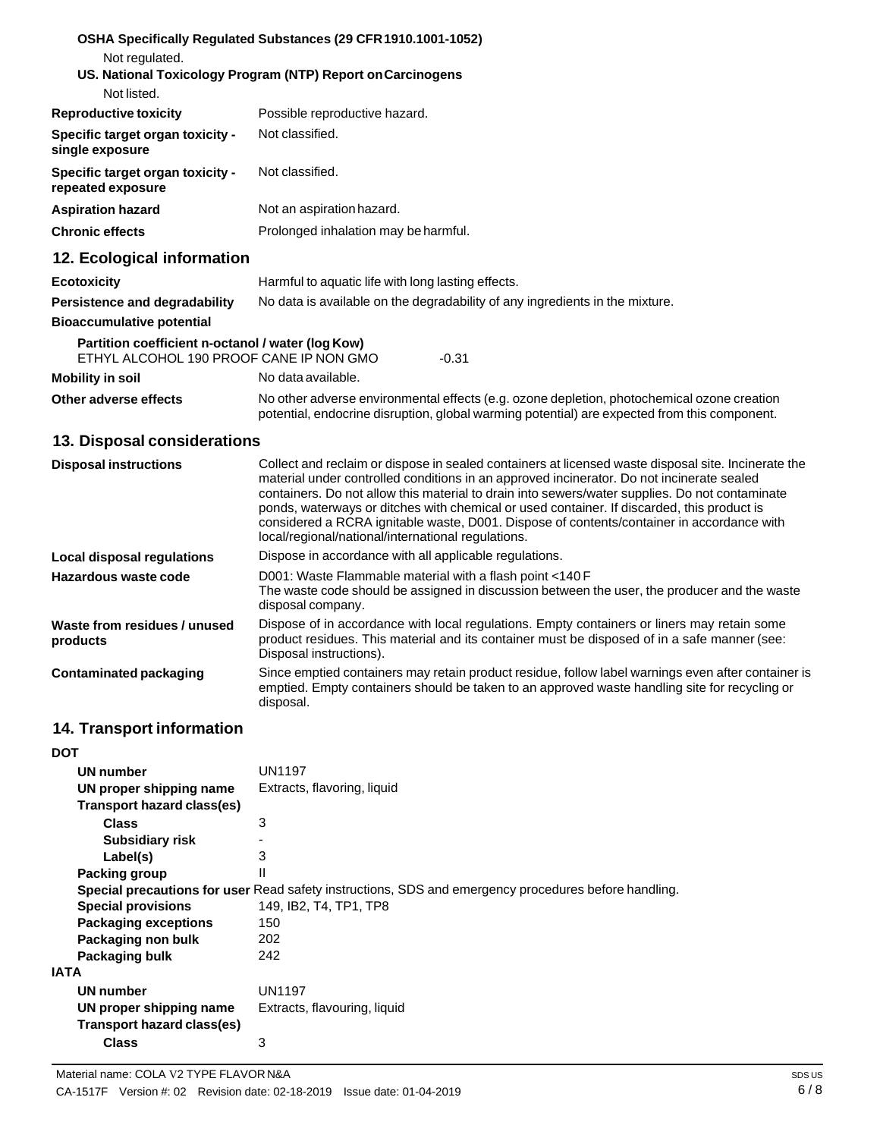| Not regulated.<br>Not listed.                                                                | OSHA Specifically Regulated Substances (29 CFR 1910.1001-1052)<br>US. National Toxicology Program (NTP) Report on Carcinogens |
|----------------------------------------------------------------------------------------------|-------------------------------------------------------------------------------------------------------------------------------|
| <b>Reproductive toxicity</b>                                                                 | Possible reproductive hazard.                                                                                                 |
| Specific target organ toxicity -<br>single exposure                                          | Not classified.                                                                                                               |
| Specific target organ toxicity -<br>repeated exposure                                        | Not classified.                                                                                                               |
| <b>Aspiration hazard</b>                                                                     | Not an aspiration hazard.                                                                                                     |
| <b>Chronic effects</b>                                                                       | Prolonged inhalation may be harmful.                                                                                          |
| 12. Ecological information                                                                   |                                                                                                                               |
| <b>Ecotoxicity</b>                                                                           | Harmful to aquatic life with long lasting effects.                                                                            |
| Persistence and degradability                                                                | No data is available on the degradability of any ingredients in the mixture.                                                  |
| <b>Bioaccumulative potential</b>                                                             |                                                                                                                               |
| Partition coefficient n-octanol / water (log Kow)<br>ETHYL ALCOHOL 190 PROOF CANE IP NON GMO | $-0.31$                                                                                                                       |

**Mobility in soil** No data available.

**Other adverse effects** No other adverse environmental effects (e.g. ozone depletion, photochemical ozone creation potential, endocrine disruption, global warming potential) are expected from this component.

### **13. Disposal considerations**

| <b>Disposal instructions</b>             | Collect and reclaim or dispose in sealed containers at licensed waste disposal site. Incinerate the<br>material under controlled conditions in an approved incinerator. Do not incinerate sealed<br>containers. Do not allow this material to drain into sewers/water supplies. Do not contaminate<br>ponds, waterways or ditches with chemical or used container. If discarded, this product is<br>considered a RCRA ignitable waste, D001. Dispose of contents/container in accordance with<br>local/regional/national/international regulations. |
|------------------------------------------|-----------------------------------------------------------------------------------------------------------------------------------------------------------------------------------------------------------------------------------------------------------------------------------------------------------------------------------------------------------------------------------------------------------------------------------------------------------------------------------------------------------------------------------------------------|
| Local disposal regulations               | Dispose in accordance with all applicable regulations.                                                                                                                                                                                                                                                                                                                                                                                                                                                                                              |
| Hazardous waste code                     | D001: Waste Flammable material with a flash point <140 F<br>The waste code should be assigned in discussion between the user, the producer and the waste<br>disposal company.                                                                                                                                                                                                                                                                                                                                                                       |
| Waste from residues / unused<br>products | Dispose of in accordance with local regulations. Empty containers or liners may retain some<br>product residues. This material and its container must be disposed of in a safe manner (see:<br>Disposal instructions).                                                                                                                                                                                                                                                                                                                              |
| Contaminated packaging                   | Since emptied containers may retain product residue, follow label warnings even after container is<br>emptied. Empty containers should be taken to an approved waste handling site for recycling or<br>disposal.                                                                                                                                                                                                                                                                                                                                    |

## **14. Transport information**

| DOT                         |                                                                                                      |
|-----------------------------|------------------------------------------------------------------------------------------------------|
| UN number                   | UN1197                                                                                               |
| UN proper shipping name     | Extracts, flavoring, liquid                                                                          |
| Transport hazard class(es)  |                                                                                                      |
| <b>Class</b>                | 3                                                                                                    |
| <b>Subsidiary risk</b>      |                                                                                                      |
| Label(s)                    | 3                                                                                                    |
| Packing group               | Ш                                                                                                    |
|                             | Special precautions for user Read safety instructions, SDS and emergency procedures before handling. |
| <b>Special provisions</b>   | 149, IB2, T4, TP1, TP8                                                                               |
| <b>Packaging exceptions</b> | 150                                                                                                  |
| Packaging non bulk          | 202                                                                                                  |
| Packaging bulk              | 242                                                                                                  |
| <b>IATA</b>                 |                                                                                                      |
| <b>UN number</b>            | UN1197                                                                                               |
| UN proper shipping name     | Extracts, flavouring, liquid                                                                         |
| Transport hazard class(es)  |                                                                                                      |
| <b>Class</b>                | 3                                                                                                    |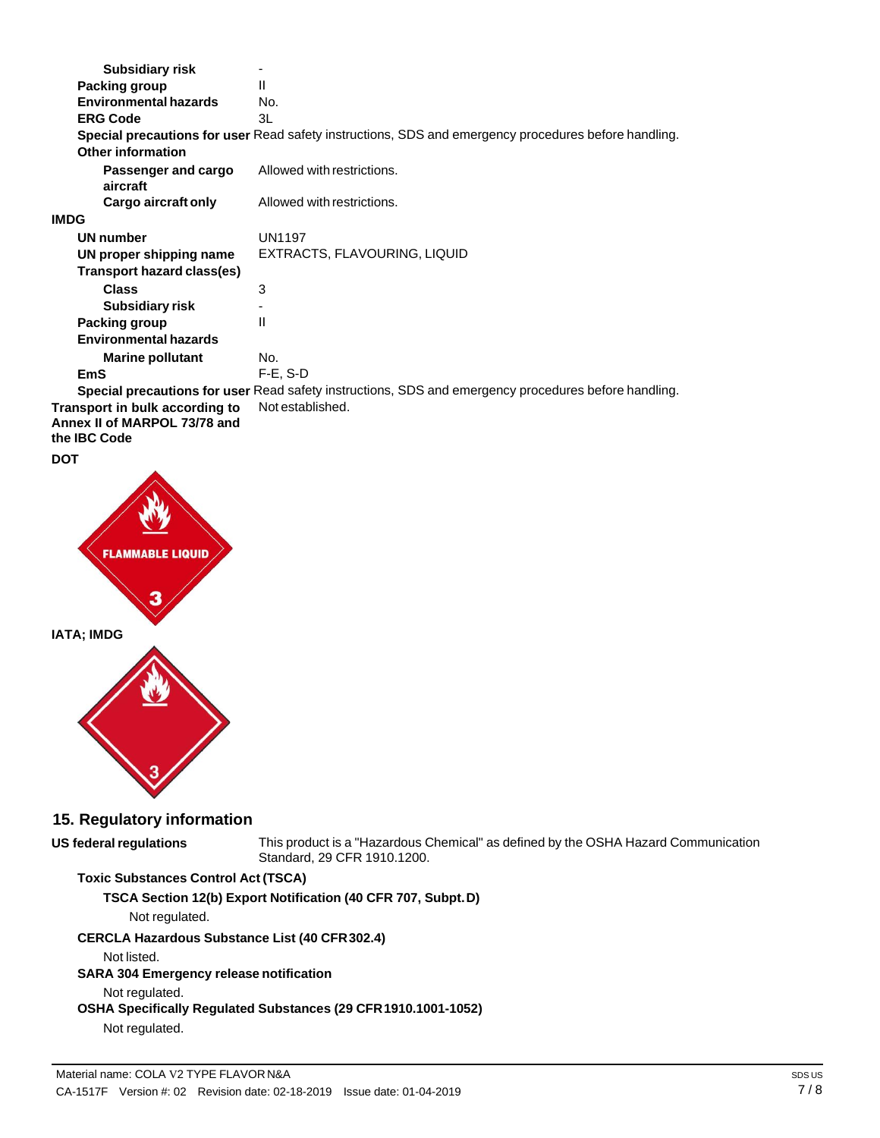| <b>Subsidiary risk</b>                                                                |                                                                                                             |
|---------------------------------------------------------------------------------------|-------------------------------------------------------------------------------------------------------------|
| Packing group                                                                         | Ш                                                                                                           |
| <b>Environmental hazards</b>                                                          | No.                                                                                                         |
| <b>ERG Code</b>                                                                       | 3L                                                                                                          |
|                                                                                       | Special precautions for user Read safety instructions, SDS and emergency procedures before handling.        |
| <b>Other information</b>                                                              |                                                                                                             |
| Passenger and cargo<br>aircraft                                                       | Allowed with restrictions.                                                                                  |
| Cargo aircraft only                                                                   | Allowed with restrictions.                                                                                  |
| <b>IMDG</b>                                                                           |                                                                                                             |
| <b>UN number</b>                                                                      | <b>UN1197</b>                                                                                               |
| UN proper shipping name                                                               | EXTRACTS, FLAVOURING, LIQUID                                                                                |
| Transport hazard class(es)                                                            |                                                                                                             |
| <b>Class</b>                                                                          | 3                                                                                                           |
| <b>Subsidiary risk</b>                                                                |                                                                                                             |
| Packing group                                                                         | Ш                                                                                                           |
| <b>Environmental hazards</b>                                                          |                                                                                                             |
| <b>Marine pollutant</b>                                                               | No.                                                                                                         |
| <b>EmS</b>                                                                            | $F-E$ , S-D                                                                                                 |
|                                                                                       | <b>Special precautions for user</b> Read safety instructions, SDS and emergency procedures before handling. |
| Transport in bulk according to<br>Annex II of MARPOL 73/78 and<br>the <b>IBC</b> Code | Not established.                                                                                            |

**DOT**



## **15. Regulatory information**

This product is a "Hazardous Chemical" as defined by the OSHA Hazard Communication Standard, 29 CFR 1910.1200.

# **Toxic Substances Control Act (TSCA)**

**TSCA Section 12(b) Export Notification (40 CFR 707, Subpt.D)**

Not regulated.

## **CERCLA Hazardous Substance List (40 CFR302.4)**

Not listed.

**US** federal regulations

## **SARA 304 Emergency release notification**

Not regulated.

# **OSHA Specifically Regulated Substances (29 CFR1910.1001-1052)**

Not regulated.